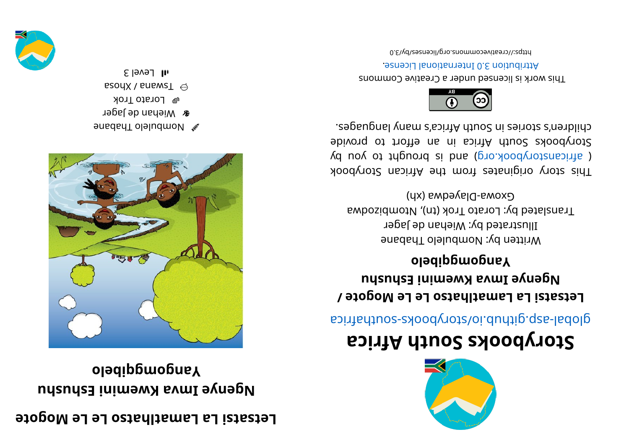## **exacking La LamatIhatso Le Le Mogote**

## **uhs uhsEi ni me wK av mI eyneg N ol ebi qg mognaY**



- enabah Oleh Thabane
- **&** Wiehan de Jager
- **Lorato Trok**
- esoux / snawsT  $\omega$  $1$  II FGNGI





## **storybooks South Africa**

aci ri re abological anti-

**/ et ogo MeL eL ost ahl <sup>t</sup> <sup>a</sup> maL aLi st ast eL uhs uhsEi ni me wK av mI eyneg N ol ebi qg mognaY**

Written by: Nombulelo Thabane Illustrated by: Wiehan de Jager Translated by: Lorato Trok (tn), Ntombizodwa  $(yx)$  empa $\sqrt{e}$ deya (xp

kood yot sidinates trom the African Storybook  $\chi$ d uoy ot triguor b si bna (pro. koobyr or by Storybooks South Africa in an effort to provide . segaugnal ynam a' south Africa's nyn anges.



This work is licensed under a Creative Commons . esnecial lanoit anternational License.

0. E\\d\zesnecil\pro. 2nommons.org/licenses/by/3.0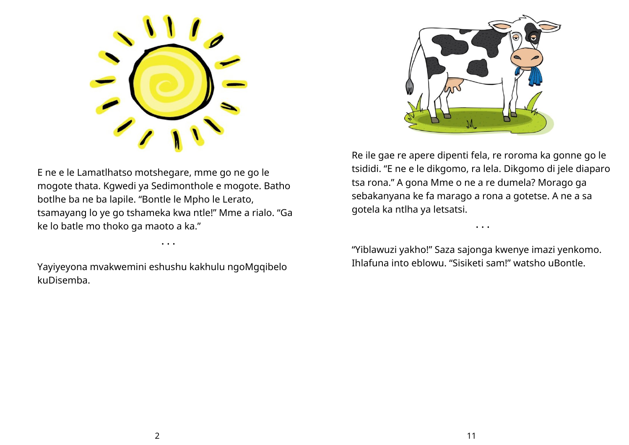

E ne e le Lamatlhatso motshegare, mme go ne go le mogote thata. Kgwedi ya Sedimonthole e mogote. Batho botlhe ba ne ba lapile. "Bontle le Mpho le Lerato, tsamayang lo ye go tshameka kwa ntle!" Mme a rialo. "Ga ke lo batle mo thoko ga maoto a ka."

• • •

Yayiyeyona mvakwemini eshushu kakhulu ngoMgqibelo kuDisemba.



Re ile gae re apere dipenti fela, re roroma ka gonne go le tsididi. "E ne e le dikgomo, ra lela. Dikgomo di jele diaparo tsa rona." A gona Mme o ne a re dumela? Morago ga sebakanyana ke fa marago a rona a gotetse. A ne a sa gotela ka ntlha ya letsatsi.

• • •

"Yiblawuzi yakho!" Saza sajonga kwenye imazi yenkomo. Ihlafuna into eblowu. "Sisiketi sam!" watsho uBontle.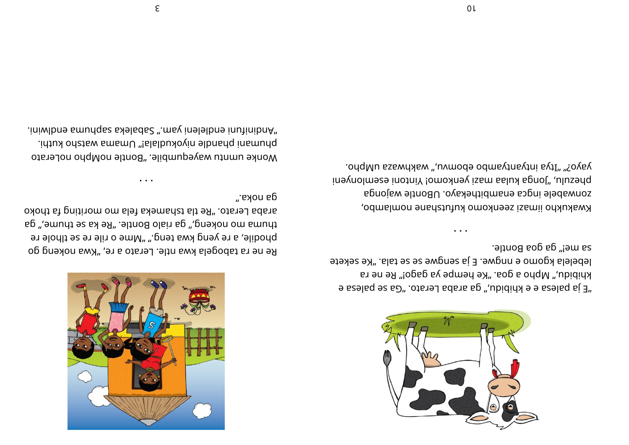

e asel aq es and a gear a funiquity a a sealed as  $\epsilon$ . The set belose and  $\epsilon$ khibidu," Mpho a goa. "Ke hempe ya gago!" Re ne ra lebelela kgomo e nngwe. E ja sengwe se se tala. "Ke sekete

sa mei" ga goa Bontle.

Kwakukho iimazi zeenkomo kufutshane nomlambo, zonwabele ingca enambithekayo. UBontle wajonga puesnin', joude represence not no mese iudious de producio al producio producio producio producio pr .onqMu ssawdakw ",uvmode odmsytnayti sytl" "?oyay

• • •



Re ne ra tabogela kwa ntle. Lerato a re, "Kwa nokeng go phodile, a re yeng kwa teng." "Mme o rile re se tlhole re thuma mo nokeng," gai r ag olain ag". Bus ag "emunt" ga oxodt af gniti om on alet akenatat alt eR". ot and adere ".saon ag

Wonke umntu wayedumbile. Silam bayan barato phang buba dia mataharan matang dikenalan dikenal dukuri na mata ini dikenali dan dukuri na mahali dukuri na m .iniwlbne smundes sablads2 ".msv inel bine inutinibnA"

• • •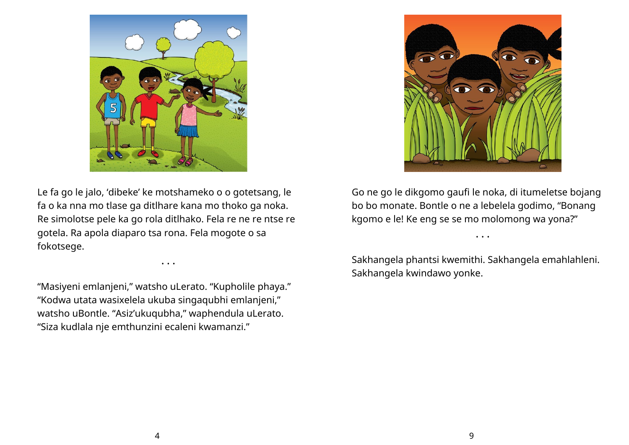

Le fa go le jalo, 'dibeke' ke motshameko o o gotetsang, le fa o ka nna mo tlase ga ditlhare kana mo thoko ga noka. Re simolotse pele ka go rola ditlhako. Fela re ne re ntse re gotela. Ra apola diaparo tsa rona. Fela mogote o sa fokotsege.

• • •

"Masiyeni emlanjeni," watsho uLerato. "Kupholile phaya." "Kodwa utata wasixelela ukuba singaqubhi emlanjeni," watsho uBontle. "Asiz'ukuqubha," waphendula uLerato. "Siza kudlala nje emthunzini ecaleni kwamanzi."



Go ne go le dikgomo gaufi le noka, di itumeletse bojang bo bo monate. Bontle o ne a lebelela godimo, "Bonang kgomo e le! Ke eng se se mo molomong wa yona?"

• • •

Sakhangela phantsi kwemithi. Sakhangela emahlahleni. Sakhangela kwindawo yonke.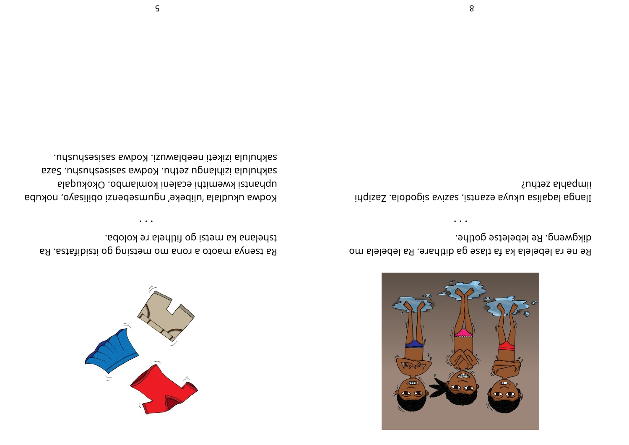

Re ne ra lebelela ka fa tlase ga ditlhare. Ra lebelela mo dikgweng. Re lebeletse gotlhe.

• • •

idqisaS .alobogiz svisas ,iztnasə ayuku asilapal agnalI indtes aldaqmii



• • •

ag. ast af in still and a still be stilled and a still be a still and a still be a manifologied and a manifolo

tsdolox er alenltif og iztem ax analentat